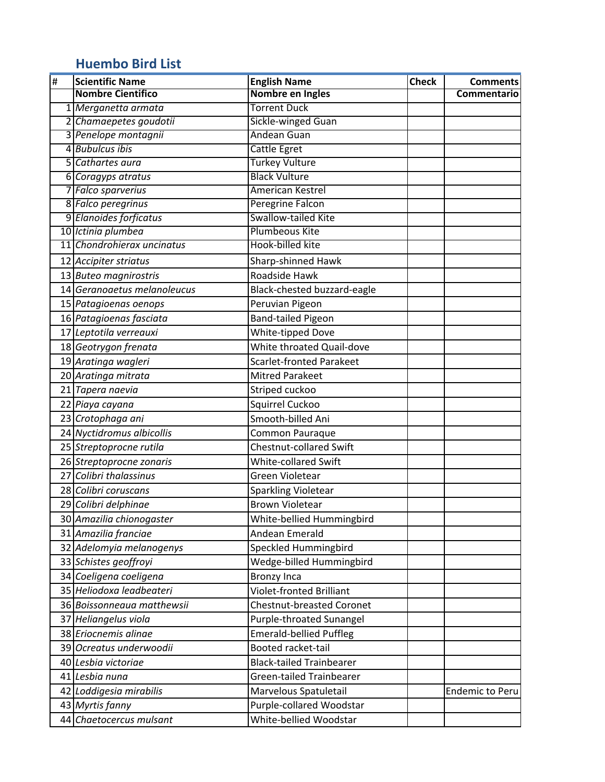## **Huembo Bird List**

| $\pmb{\sharp}$ | <b>Scientific Name</b>      | <b>English Name</b>              | <b>Check</b> | <b>Comments</b>        |
|----------------|-----------------------------|----------------------------------|--------------|------------------------|
|                | <b>Nombre Cientifico</b>    | Nombre en Ingles                 |              | Commentario            |
|                | 1 Merganetta armata         | <b>Torrent Duck</b>              |              |                        |
|                | 2 Chamaepetes goudotii      | Sickle-winged Guan               |              |                        |
|                | 3 Penelope montagnii        | Andean Guan                      |              |                        |
|                | 4 Bubulcus ibis             | <b>Cattle Egret</b>              |              |                        |
| 5              | Cathartes aura              | <b>Turkey Vulture</b>            |              |                        |
|                | 6 Coragyps atratus          | <b>Black Vulture</b>             |              |                        |
|                | 7 Falco sparverius          | <b>American Kestrel</b>          |              |                        |
|                | 8 Falco peregrinus          | Peregrine Falcon                 |              |                        |
|                | 9 Elanoides forficatus      | Swallow-tailed Kite              |              |                        |
|                | 10 Ictinia plumbea          | Plumbeous Kite                   |              |                        |
|                | 11 Chondrohierax uncinatus  | Hook-billed kite                 |              |                        |
|                | 12 Accipiter striatus       | Sharp-shinned Hawk               |              |                        |
|                | 13 Buteo magnirostris       | Roadside Hawk                    |              |                        |
|                | 14 Geranoaetus melanoleucus | Black-chested buzzard-eagle      |              |                        |
|                | 15 Patagioenas oenops       | Peruvian Pigeon                  |              |                        |
|                | 16 Patagioenas fasciata     | <b>Band-tailed Pigeon</b>        |              |                        |
|                | 17 Leptotila verreauxi      | <b>White-tipped Dove</b>         |              |                        |
|                | 18 Geotrygon frenata        | White throated Quail-dove        |              |                        |
|                | 19 Aratinga wagleri         | <b>Scarlet-fronted Parakeet</b>  |              |                        |
|                | 20 Aratinga mitrata         | <b>Mitred Parakeet</b>           |              |                        |
|                | 21 Tapera naevia            | Striped cuckoo                   |              |                        |
|                | 22 Piaya cayana             | Squirrel Cuckoo                  |              |                        |
|                | 23 Crotophaga ani           | Smooth-billed Ani                |              |                        |
|                | 24 Nyctidromus albicollis   | Common Pauraque                  |              |                        |
|                | 25 Streptoprocne rutila     | Chestnut-collared Swift          |              |                        |
|                | 26 Streptoprocne zonaris    | White-collared Swift             |              |                        |
| 27             | Colibri thalassinus         | Green Violetear                  |              |                        |
|                | 28 Colibri coruscans        | <b>Sparkling Violetear</b>       |              |                        |
|                | 29 Colibri delphinae        | <b>Brown Violetear</b>           |              |                        |
|                | 30 Amazilia chionogaster    | White-bellied Hummingbird        |              |                        |
|                | 31 Amazilia franciae        | Andean Emerald                   |              |                        |
|                | 32 Adelomyia melanogenys    | Speckled Hummingbird             |              |                        |
|                | 33 Schistes geoffroyi       | Wedge-billed Hummingbird         |              |                        |
|                | 34 Coeligena coeligena      | <b>Bronzy Inca</b>               |              |                        |
|                | 35 Heliodoxa leadbeateri    | <b>Violet-fronted Brilliant</b>  |              |                        |
|                | 36 Boissonneaua matthewsii  | <b>Chestnut-breasted Coronet</b> |              |                        |
| 37             | Heliangelus viola           | Purple-throated Sunangel         |              |                        |
|                | 38 Eriocnemis alinae        | <b>Emerald-bellied Puffleg</b>   |              |                        |
|                | 39 Ocreatus underwoodii     | Booted racket-tail               |              |                        |
|                | 40 Lesbia victoriae         | <b>Black-tailed Trainbearer</b>  |              |                        |
|                | 41 Lesbia nuna              | <b>Green-tailed Trainbearer</b>  |              |                        |
|                | 42 Loddigesia mirabilis     | Marvelous Spatuletail            |              | <b>Endemic to Peru</b> |
|                | 43 Myrtis fanny             | Purple-collared Woodstar         |              |                        |
|                | 44 Chaetocercus mulsant     | White-bellied Woodstar           |              |                        |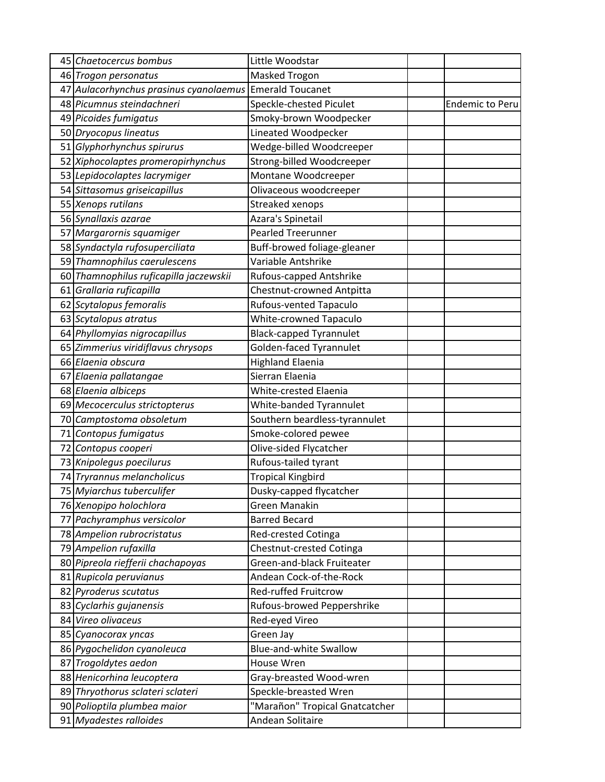|    | 45 Chaetocercus bombus                                  | Little Woodstar                                        |                        |
|----|---------------------------------------------------------|--------------------------------------------------------|------------------------|
|    | 46 Trogon personatus                                    | Masked Trogon                                          |                        |
|    | 47 Aulacorhynchus prasinus cyanolaemus Emerald Toucanet |                                                        |                        |
|    | 48 Picumnus steindachneri                               | Speckle-chested Piculet                                | <b>Endemic to Peru</b> |
|    | 49 Picoides fumigatus                                   | Smoky-brown Woodpecker                                 |                        |
|    | 50 Dryocopus lineatus                                   | Lineated Woodpecker                                    |                        |
|    | 51 Glyphorhynchus spirurus                              | Wedge-billed Woodcreeper                               |                        |
|    | 52 Xiphocolaptes promeropirhynchus                      | Strong-billed Woodcreeper                              |                        |
|    | 53 Lepidocolaptes lacrymiger                            | Montane Woodcreeper                                    |                        |
|    | 54 Sittasomus griseicapillus                            | Olivaceous woodcreeper                                 |                        |
|    | 55 Xenops rutilans                                      | Streaked xenops                                        |                        |
|    | 56 Synallaxis azarae                                    | Azara's Spinetail                                      |                        |
|    | 57 Margarornis squamiger                                | <b>Pearled Treerunner</b>                              |                        |
|    | 58 Syndactyla rufosuperciliata                          | Buff-browed foliage-gleaner                            |                        |
|    | 59 Thamnophilus caerulescens                            | Variable Antshrike                                     |                        |
|    | 60 Thamnophilus ruficapilla jaczewskii                  | Rufous-capped Antshrike                                |                        |
|    | 61 Grallaria ruficapilla                                | Chestnut-crowned Antpitta                              |                        |
| 62 | Scytalopus femoralis                                    | Rufous-vented Tapaculo                                 |                        |
|    | 63 Scytalopus atratus                                   | White-crowned Tapaculo                                 |                        |
|    | 64 Phyllomyias nigrocapillus                            | <b>Black-capped Tyrannulet</b>                         |                        |
|    | 65 Zimmerius viridiflavus chrysops                      | Golden-faced Tyrannulet                                |                        |
|    | 66 Elaenia obscura                                      | <b>Highland Elaenia</b>                                |                        |
| 67 | Elaenia pallatangae                                     | Sierran Elaenia                                        |                        |
|    | 68 Elaenia albiceps                                     | White-crested Elaenia                                  |                        |
|    | 69 Mecocerculus strictopterus                           | White-banded Tyrannulet                                |                        |
|    | 70 Camptostoma obsoletum                                | Southern beardless-tyrannulet                          |                        |
|    | 71 Contopus fumigatus                                   | Smoke-colored pewee                                    |                        |
| 72 | Contopus cooperi                                        | Olive-sided Flycatcher                                 |                        |
|    | 73 Knipolegus poecilurus                                | Rufous-tailed tyrant                                   |                        |
|    | 74 Tryrannus melancholicus                              | <b>Tropical Kingbird</b>                               |                        |
|    | 75 Myiarchus tuberculifer                               | Dusky-capped flycatcher                                |                        |
| 77 | 76 Xenopipo holochlora<br>Pachyramphus versicolor       | Green Manakin<br><b>Barred Becard</b>                  |                        |
|    | 78 Ampelion rubrocristatus                              |                                                        |                        |
|    | 79 Ampelion rufaxilla                                   | <b>Red-crested Cotinga</b><br>Chestnut-crested Cotinga |                        |
|    | 80 Pipreola riefferii chachapoyas                       | Green-and-black Fruiteater                             |                        |
|    | 81 Rupicola peruvianus                                  | Andean Cock-of-the-Rock                                |                        |
|    | 82 Pyroderus scutatus                                   | Red-ruffed Fruitcrow                                   |                        |
|    | 83 Cyclarhis gujanensis                                 | Rufous-browed Peppershrike                             |                        |
| 84 | Vireo olivaceus                                         | Red-eyed Vireo                                         |                        |
|    | 85 Cyanocorax yncas                                     | Green Jay                                              |                        |
|    | 86 Pygochelidon cyanoleuca                              | <b>Blue-and-white Swallow</b>                          |                        |
| 87 | Trogoldytes aedon                                       | House Wren                                             |                        |
|    | 88 Henicorhina leucoptera                               | Gray-breasted Wood-wren                                |                        |
|    | 89 Thryothorus sclateri sclateri                        | Speckle-breasted Wren                                  |                        |
|    | 90 Polioptila plumbea maior                             | "Marañon" Tropical Gnatcatcher                         |                        |
|    | 91 Myadestes ralloides                                  | Andean Solitaire                                       |                        |
|    |                                                         |                                                        |                        |